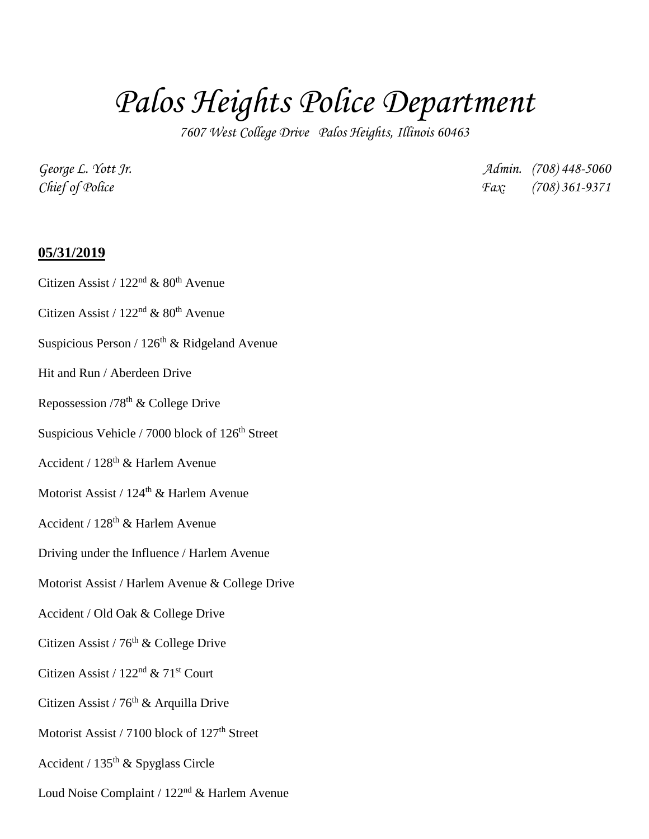## *Palos Heights Police Department*

*7607 West College Drive Palos Heights, Illinois 60463*

*George L. Yott Jr. Admin. (708) 448-5060 Chief of Police Fax: (708) 361-9371*

## **05/31/2019**

- Citizen Assist /  $122<sup>nd</sup>$  &  $80<sup>th</sup>$  Avenue
- Citizen Assist /  $122<sup>nd</sup>$  &  $80<sup>th</sup>$  Avenue
- Suspicious Person /  $126<sup>th</sup>$  & Ridgeland Avenue
- Hit and Run / Aberdeen Drive
- Repossession  $/78^{th}$  & College Drive
- Suspicious Vehicle / 7000 block of 126<sup>th</sup> Street
- Accident / 128th & Harlem Avenue
- Motorist Assist / 124<sup>th</sup> & Harlem Avenue
- Accident /  $128<sup>th</sup>$  & Harlem Avenue
- Driving under the Influence / Harlem Avenue
- Motorist Assist / Harlem Avenue & College Drive
- Accident / Old Oak & College Drive
- Citizen Assist /  $76<sup>th</sup>$  & College Drive
- Citizen Assist / 122<sup>nd</sup> & 71<sup>st</sup> Court
- Citizen Assist /  $76<sup>th</sup>$  & Arquilla Drive
- Motorist Assist  $/ 7100$  block of  $127<sup>th</sup>$  Street
- Accident /  $135<sup>th</sup>$  & Spyglass Circle
- Loud Noise Complaint / 122nd & Harlem Avenue